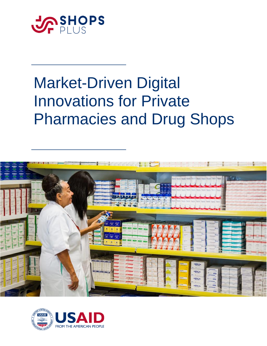

# Market-Driven Digital Innovations for Private Pharmacies and Drug Shops



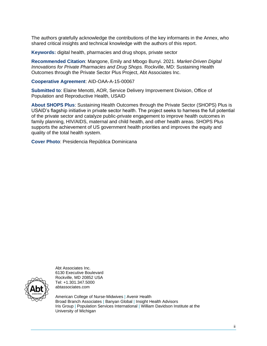The authors gratefully acknowledge the contributions of the key informants in the Annex, who shared critical insights and technical knowledge with the authors of this report.

**Keywords:** digital health, pharmacies and drug shops, private sector

**Recommended Citation**: Mangone, Emily and Mbogo Bunyi. 2021. *Market-Driven Digital Innovations for Private Pharmacies and Drug Shops.* Rockville, MD: Sustaining Health Outcomes through the Private Sector Plus Project, Abt Associates Inc.

**Cooperative Agreement**: AID-OAA-A-15-00067

**Submitted to**: Elaine Menotti, AOR, Service Delivery Improvement Division, Office of Population and Reproductive Health, USAID

**About SHOPS Plus**: Sustaining Health Outcomes through the Private Sector (SHOPS) Plus is USAID's flagship initiative in private sector health. The project seeks to harness the full potential of the private sector and catalyze public-private engagement to improve health outcomes in family planning, HIV/AIDS, maternal and child health, and other health areas. SHOPS Plus supports the achievement of US government health priorities and improves the equity and quality of the total health system.

**Cover Photo**: Presidencia República Dominicana



Abt Associates Inc. 6130 Executive Boulevard Rockville, MD 20852 USA Tel: +1.301.347.5000 abtassociates.com

American College of Nurse-Midwives | Avenir Health Broad Branch Associates | Banyan Global | Insight Health Advisors Iris Group | Population Services International | William Davidson Institute at the University of Michigan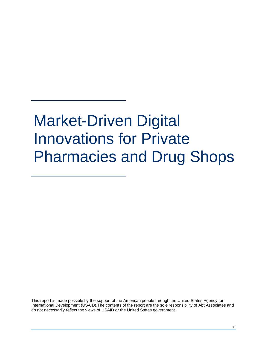# Market-Driven Digital Innovations for Private Pharmacies and Drug Shops

This report is made possible by the support of the American people through the United States Agency for International Development (USAID).The contents of the report are the sole responsibility of Abt Associates and do not necessarily reflect the views of USAID or the United States government.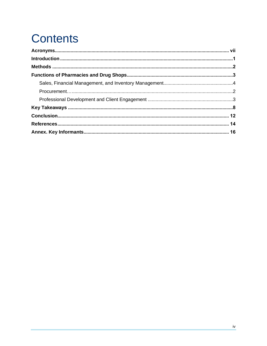# **Contents**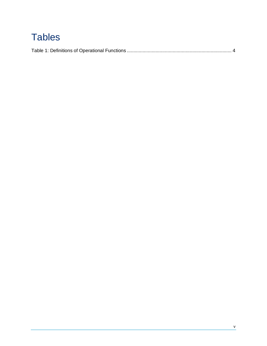# **Tables**

|--|--|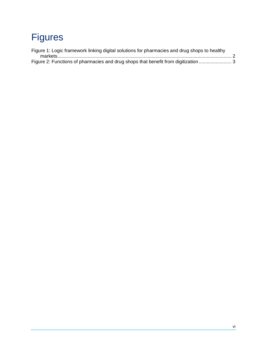# Figures

| Figure 1: Logic framework linking digital solutions for pharmacies and drug shops to healthy |  |
|----------------------------------------------------------------------------------------------|--|
|                                                                                              |  |
| Figure 2: Functions of pharmacies and drug shops that benefit from digitization 3            |  |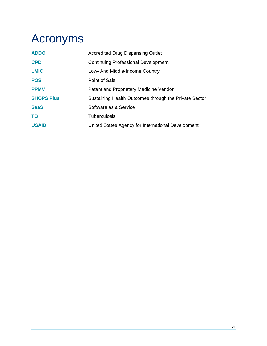# <span id="page-6-0"></span>Acronyms

| <b>ADDO</b>       | <b>Accredited Drug Dispensing Outlet</b>              |
|-------------------|-------------------------------------------------------|
| <b>CPD</b>        | <b>Continuing Professional Development</b>            |
| <b>LMIC</b>       | Low- And Middle-Income Country                        |
| <b>POS</b>        | Point of Sale                                         |
| <b>PPMV</b>       | Patent and Proprietary Medicine Vendor                |
| <b>SHOPS Plus</b> | Sustaining Health Outcomes through the Private Sector |
| <b>SaaS</b>       | Software as a Service                                 |
| TB                | <b>Tuberculosis</b>                                   |
| <b>USAID</b>      | United States Agency for International Development    |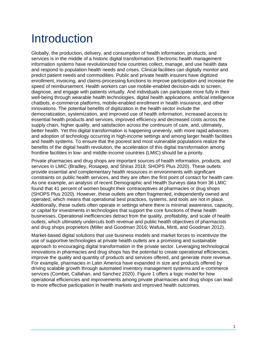# <span id="page-7-0"></span>Introduction

Globally, the production, delivery, and consumption of health information, products, and services is in the middle of a historic digital transformation. Electronic health management information systems have revolutionized how countries collect, manage, and use health data and respond to population health needs and crises. Clinical facilities can digitally monitor and predict patient needs and commodities. Public and private health insurers have digitized enrollment, invoicing, and claims-processing functions to improve participation and increase the speed of reimbursement. Health workers can use mobile-enabled decision-aids to screen, diagnose, and engage with patients virtually. And individuals can participate more fully in their well-being through wearable health technologies, digital health applications, artificial intelligence chatbots, e-commerce platforms, mobile-enabled enrollment in health insurance, and other innovations. The potential benefits of digitization in the health sector include the democratization, systemization, and improved use of health information, increased access to essential health products and services, improved efficiency and decreased costs across the supply chain, higher quality, and satisfaction across the continuum of care, and, ultimately, better health. Yet this digital transformation is happening unevenly, with more rapid advances and adoption of technology occurring in high-income settings and among larger health facilities and health systems. To ensure that the poorest and most vulnerable populations realize the benefits of the digital health revolution, the acceleration of this digital transformation among frontline facilities in low- and middle-income countries (LMIC) should be a priority.

Private pharmacies and drug shops are important sources of health information, products, and services in LMIC (Bradley, Rosapep, and Shiras 2018; SHOPS Plus 2020). These outlets provide essential and complementary health resources in environments with significant constraints on public health services, and they are often the first point of contact for health care. As one example, an analysis of recent Demographic and Health Surveys data from 36 LMIC found that 41 percent of women bought their contraceptives at pharmacies or drug shops (SHOPS Plus 2020). However, these outlets are often fragmented, independently owned and operated, which means that operational best practices, systems, and tools are not in place. Additionally, these outlets often operate in settings where there is minimal awareness, capacity, or capital for investments in technologies that support the core functions of these health businesses. Operational inefficiencies detract from the quality, profitability, and scale of health outlets, which ultimately undercuts both revenue and public health objectives of pharmacists and drug shops proprietors (Miller and Goodman 2016; Wafula, Miriti, and Goodman 2012).

Market-based digital solutions that use business models and market forces to incentivize the use of supportive technologies at private health outlets are a promising and sustainable approach to encouraging digital transformation in the private sector. Leveraging technological innovations in pharmacies and drug shops has the potential to create operational efficiencies, improve the quality and quantity of products and services offered, and generate more revenue. For example, pharmacies in Latin America have expanded in size and products offered by driving scalable growth through automated inventory management systems and e-commerce services (Combet, Callahan, and Sanchez 2020). Figure 1 offers a logic model for how operational efficiencies and improvements among private pharmacies and drug shops can lead to more effective participation in health markets and improved health outcomes.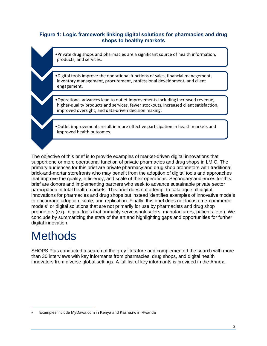### <span id="page-8-1"></span>**Figure 1: Logic framework linking digital solutions for pharmacies and drug shops to healthy markets**

•Private drug shops and pharmacies are a significant source of health information, products, and services.

- •Digital tools improve the operational functions of sales, financial management, inventory management, procurement, professional development, and client engagement.
- •Operational advances lead to outlet improvements including increased revenue, higher-quality products and services, fewer stockouts, increased client satisfaction, improved oversight, and data-driven decision making.

•Outlet improvements result in more effective participation in health markets and improved health outcomes.

The objective of this brief is to provide examples of market-driven digital innovations that support one or more operational function of private pharmacies and drug shops in LMIC. The primary audiences for this brief are private pharmacy and drug shop proprietors with traditional brick-and-mortar storefronts who may benefit from the adoption of digital tools and approaches that improve the quality, efficiency, and scale of their operations. Secondary audiences for this brief are donors and implementing partners who seek to advance sustainable private sector participation in total health markets. This brief does not attempt to catalogue all digital innovations for pharmacies and drug shops but instead identifies examples of innovative models to encourage adoption, scale, and replication. Finally, this brief does not focus on e-commerce models<sup>1</sup> or digital solutions that are not primarily for use by pharmacists and drug shop proprietors (e.g., digital tools that primarily serve wholesalers, manufacturers, patients, etc.). We conclude by summarizing the state of the art and highlighting gaps and opportunities for further digital innovation.

# <span id="page-8-0"></span>**Methods**

SHOPS Plus conducted a search of the grey literature and complemented the search with more than 30 interviews with key informants from pharmacies, drug shops, and digital health innovators from diverse global settings. A full list of key informants is provided in the Annex.

Examples include MyDawa.com in Kenya and Kasha.rw in Rwanda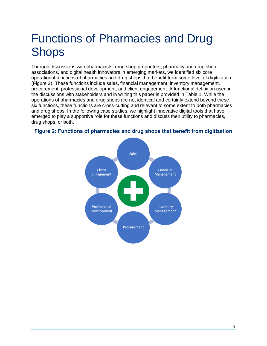# <span id="page-9-0"></span>Functions of Pharmacies and Drug Shops

Through discussions with pharmacists, drug shop proprietors, pharmacy and drug shop associations, and digital health innovators in emerging markets, we identified six core operational functions of pharmacies and drug shops that benefit from some level of digitization (Figure 2). These functions include sales, financial management, inventory management, procurement, professional development, and client engagement. A functional definition used in the discussions with stakeholders and in writing this paper is provided in Table 1. While the operations of pharmacies and drug shops are not identical and certainly extend beyond these six functions, these functions are cross-cutting and relevant to some extent to both pharmacies and drug shops. In the following case studies, we highlight innovative digital tools that have emerged to play a supportive role for these functions and discuss their utility to pharmacies, drug shops, or both.



<span id="page-9-1"></span>**Figure 2: Functions of pharmacies and drug shops that benefit from digitization**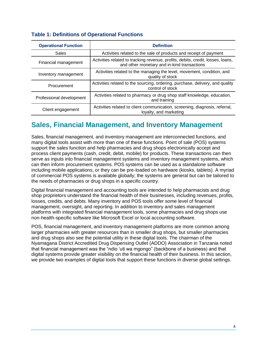| <b>Operational Function</b> | <b>Definition</b>                                                                                                              |
|-----------------------------|--------------------------------------------------------------------------------------------------------------------------------|
| <b>Sales</b>                | Activities related to the sale of products and receipt of payment                                                              |
| Financial management        | Activities related to tracking revenue, profits, debits, credit, losses, loans,<br>and other monetary and in-kind transactions |
| Inventory management        | Activities related to the managing the level, movement, condition, and<br>quality of stock                                     |
| Procurement                 | Activities related to the sourcing, ordering, purchase, delivery, and quality<br>control of stock                              |
| Professional development    | Activities related to pharmacy or drug shop staff knowledge, education,<br>and training                                        |
| Client engagement           | Activities related to client communication, screening, diagnosis, referral,<br>loyalty, and marketing                          |

### <span id="page-10-1"></span>**Table 1: Definitions of Operational Functions**

# <span id="page-10-0"></span>**Sales, Financial Management, and Inventory Management**

Sales, financial management, and inventory management are interconnected functions, and many digital tools assist with more than one of these functions. Point of sale (POS) systems support the sales function and help pharmacies and drug shops electronically accept and process client payments (cash, credit, debit, mobile) for products. These transactions can then serve as inputs into financial management systems and inventory management systems, which can then inform procurement systems. POS systems can be used as a standalone software including mobile applications, or they can be pre-loaded on hardware (kiosks, tablets). A myriad of commercial POS systems is available globally; the systems are general but can be tailored to the needs of pharmacies or drug shops in a specific country.

Digital financial management and accounting tools are intended to help pharmacists and drug shop proprietors understand the financial health of their businesses, including revenues, profits, losses, credits, and debts. Many inventory and POS tools offer some level of financial management, oversight, and reporting. In addition to inventory and sales management platforms with integrated financial management tools, some pharmacies and drug shops use non-health-specific software like Microsoft Excel or local accounting software.

POS, financial management, and inventory management platforms are more common among larger pharmacies with greater resources than in smaller drug shops, but smaller pharmacies and drug shops also see the potential utility in these digital tools. The chairman of the Nyamagana District Accredited Drug Dispensing Outlet (ADDO) Association in Tanzania noted that financial management was the "ndio 'uti wa mgongo" (backbone of a business) and that digital systems provide greater visibility on the financial health of their business. In this section, we provide two examples of digital tools that support these functions in diverse global settings.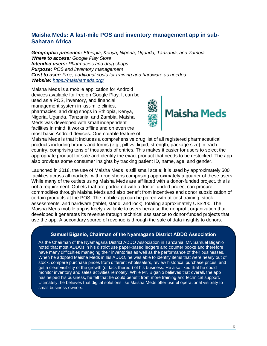## **Maisha Meds: A last-mile POS and inventory management app in sub-Saharan Africa**

*Geographic presence: Ethiopia, Kenya, Nigeria, Uganda, Tanzania, and Zambia Where to access: Google Play Store Intended users: Pharmacies and drug shops Purpose: POS and inventory management Cost to user: Free; additional costs for training and hardware as needed Website: <https://maishameds.org/>*

Maisha Meds is a mobile application for Android devices available for free on Google Play. It can be used as a POS, inventory, and financial management system in last-mile clinics, pharmacies, and drug shops in Ethiopia, Kenya, Nigeria, Uganda, Tanzania, and Zambia. Maisha Meds was developed with small independent facilities in mind; it works offline and on even the most basic Android devices. One notable feature of



Maisha Meds is that it includes a comprehensive drug list of all registered pharmaceutical products including brands and forms (e.g., pill vs. liquid, strength, package size) in each country, comprising tens of thousands of entries. This makes it easier for users to select the appropriate product for sale and identify the exact product that needs to be restocked. The app also provides some consumer insights by tracking patient ID, name, age, and gender.

Launched in 2018, the use of Maisha Meds is still small scale; it is used by approximately 500 facilities across all markets, with drug shops comprising approximately a quarter of these users. While many of the outlets using Maisha Meds are affiliated with a donor-funded project, this is not a requirement. Outlets that are partnered with a donor-funded project can procure commodities through Maisha Meds and also benefit from incentives and donor subsidization of certain products at the POS. The mobile app can be paired with at-cost training, stock assessments, and hardware (tablet, stand, and lock), totaling approximately US\$200. The Maisha Meds mobile app is freely available to users because the nonprofit organization that developed it generates its revenue through technical assistance to donor-funded projects that use the app. A secondary source of revenue is through the sale of data insights to donors.

#### **Samuel Biganio, Chairman of the Nyamagana District ADDO Association**

As the Chairman of the Nyamagana District ADDO Association in Tanzania, Mr. Samuel Biganio noted that most ADDOs in his district use paper-based ledgers and counter books and therefore have many difficulties managing their inventories as well as the performance of their businesses. When he adopted Maisha Meds in his ADDO, he was able to identify items that were nearly out of stock, compare purchase prices from different wholesalers, review historical purchase prices, and get a clear visibility of the growth (or lack thereof) of his business. He also liked that he could monitor inventory and sales activities remotely. While Mr. Biganio believes that overall, the app has helped his business, he felt that he could benefit from more training and technical support. Ultimately, he believes that digital solutions like Maisha Meds offer useful operational visibility to small business owners.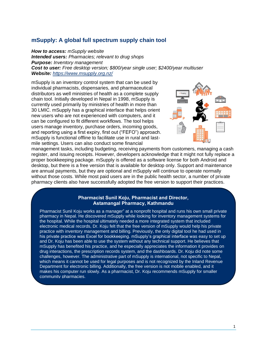### **mSupply: A global full spectrum supply chain tool**

*How to access: mSupply website Intended users: Pharmacies; relevant to drug shops Purpose: Inventory management Cost to user: Free desktop version; \$800/year single user; \$2400/year multiuser Website: <https://www.msupply.org.nz/>*

mSupply is an inventory control system that can be used by individual pharmacists, dispensaries, and pharmaceutical distributors as well ministries of health as a complete supply chain tool. Initially developed in Nepal in 1998, mSupply is currently used primarily by ministries of health in more than 30 LMIC. mSupply has a graphical interface that helps orient new users who are not experienced with computers, and it can be configured to fit different workflows. The tool helps users manage inventory, purchase orders, incoming goods, and reporting using a first expiry, first out ("FEFO") approach. mSupply is functional offline to facilitate use in rural and lastmile settings. Users can also conduct some financial



management tasks, including budgeting, receiving payments from customers, managing a cash register, and issuing receipts. However, developers acknowledge that it might not fully replace a proper bookkeeping package. mSupply is offered as a software license for both Android and desktop, but there is a free version that is available for desktop only. Support and maintenance are annual payments, but they are optional and mSupply will continue to operate normally without those costs. While most paid users are in the public health sector, a number of private pharmacy clients also have successfully adopted the free version to support their practices.

#### **Pharmacist Sunil Koju, Pharmacist and Director, Astamangal Pharmacy, Kathmandu**

Pharmacist Sunil Koju works as a manager" at a nonprofit hospital and runs his own small private pharmacy in Nepal. He discovered mSupply while looking for inventory management systems for the hospital. While the hospital ultimately needed a more integrated system that included electronic medical records, Dr. Koju felt that the free version of mSupply would help his private practice with inventory management and billing. Previously, the only digital tool he had used in his private practice was Excel for bookkeeping. mSupply's graphical interface was easy to set up and Dr. Koju has been able to use the system without any technical support. He believes that mSupply has benefited his practice, and he especially appreciates the information it provides on drug interactions, the prescription records system, and the dashboards. Dr. Koju did note some challenges, however. The administrative part of mSupply is international, not specific to Nepal, which means it cannot be used for legal purposes and is not recognized by the Inland Revenue Department for electronic billing. Additionally, the free version is not mobile enabled, and it makes his computer run slowly. As a pharmacist, Dr. Koju recommends mSupply for smaller community pharmacies.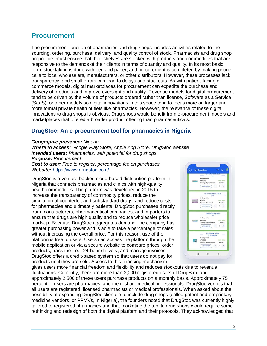# <span id="page-13-0"></span>**Procurement**

The procurement function of pharmacies and drug shops includes activities related to the sourcing, ordering, purchase, delivery, and quality control of stock. Pharmacists and drug shop proprietors must ensure that their shelves are stocked with products and commodities that are responsive to the demands of their clients in terms of quantity and quality. In its most basic form, stocktaking is done with pen and paper, and procurement is completed by making phone calls to local wholesalers, manufacturers, or other distributors. However, these processes lack transparency, and small errors can lead to delays and stockouts. As with patient-facing ecommerce models, digital marketplaces for procurement can expedite the purchase and delivery of products and improve oversight and quality. Revenue models for digital procurement tend to be driven by the volume of products ordered rather than license, Software as a Service (SaaS), or other models so digital innovations in this space tend to focus more on larger and more formal private health outlets like pharmacies. However, the relevance of these digital innovations to drug shops is obvious. Drug shops would benefit from e-procurement models and marketplaces that offered a broader product offering than pharmaceuticals.

## **DrugStoc: An e-procurement tool for pharmacies in Nigeria**

#### *Geographic presence: Nigeria*

*Where to access: Google Play Store, Apple App Store, DrugStoc website Intended users: Pharmacies, with potential for drug shops Purpose: Procurement Cost to user: Free to register, percentage fee on purchases Website:* <https://www.drugstoc.com/>

DrugStoc is a venture-backed cloud-based distribution platform in Nigeria that connects pharmacies and clinics with high-quality health commodities. The platform was developed in 2015 to increase the transparency of commodity prices, reduce the circulation of counterfeit and substandard drugs, and reduce costs for pharmacies and ultimately patients. DrugStoc purchases directly from manufacturers, pharmaceutical companies, and importers to ensure that drugs are high quality and to reduce wholesaler price mark-up. Because DrugStoc aggregates demand, the company has greater purchasing power and is able to take a percentage of sales without increasing the overall price. For this reason, use of the platform is free to users. Users can access the platform through the mobile application or via a secure website to compare prices, order products, track the free, 24-hour delivery, and manage invoices. DrugStoc offers a credit-based system so that users do not pay for products until they are sold. Access to this financing mechanism



gives users more financial freedom and flexibility and reduces stockouts due to revenue fluctuations. Currently, there are more than 3,000 registered users of DrugStoc and approximately 2,500 of these users purchase products on a monthly basis. Approximately 75 percent of users are pharmacies, and the rest are medical professionals. DrugStoc verifies that all users are registered, licensed pharmacists or medical professionals. When asked about the possibility of expanding DrugStoc clientele to include drug shops (called patent and proprietary medicine vendors, or PPMVs, in Nigeria), the founders noted that DrugStoc was currently highly tailored to registered pharmacies and that marketing the tool to drug shops would require some rethinking and redesign of both the digital platform and their protocols. They acknowledged that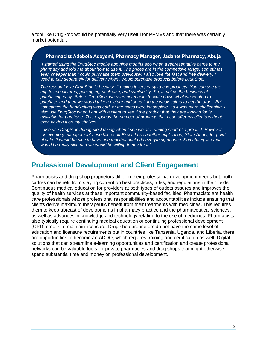a tool like DrugStoc would be potentially very useful for PPMVs and that there was certainly market potential.

#### **Pharmacist Adebola Adeyemi, Pharmacy Manager, Jadanet Pharmacy, Abuja**

*"I started using the DrugStoc mobile app nine months ago when a representative came to my pharmacy and told me about how to use it. The prices are in the competitive range, sometimes even cheaper than I could purchase them previously. I also love the fast and free delivery. I used to pay separately for delivery when I would purchase products before DrugStoc.*

*The reason I love DrugStoc is because it makes it very easy to buy products. You can use the app to see pictures, packaging, pack size, and availability. So, it makes the business of purchasing easy. Before DrugStoc, we used notebooks to write down what we wanted to purchase and then we would take a picture and send it to the wholesalers to get the order. But sometimes the handwriting was bad, or the notes were incomplete, so it was more challenging. I also use DrugStoc when I am with a client to see if the product that they are looking for is available for purchase. This expands the number of products that I can offer my clients without even having it on my shelves.*

*I also use DrugStoc during stocktaking when I see we are running short of a product. However, for inventory management I use Microsoft Excel. I use another application, Store Angel, for point of sale. It would be nice to have one tool that could do everything at once. Something like that would be really nice and we would be willing to pay for it."*

# <span id="page-14-0"></span>**Professional Development and Client Engagement**

Pharmacists and drug shop proprietors differ in their professional development needs but, both cadres can benefit from staying current on best practices, rules, and regulations in their fields. Continuous medical education for providers at both types of outlets assures and improves the quality of health services at these important community-based facilities. Pharmacists are health care professionals whose professional responsibilities and accountabilities include ensuring that clients derive maximum therapeutic benefit from their treatments with medicines. This requires them to keep abreast of developments in pharmacy practice and the pharmaceutical sciences, as well as advances in knowledge and technology relating to the use of medicines. Pharmacists also typically require continuing medical education or continuing professional development (CPD) credits to maintain licensure. Drug shop proprietors do not have the same level of education and licensure requirements but in countries like Tanzania, Uganda, and Liberia, there are opportunities to become an ADDO, which requires training and certification as well. Digital solutions that can streamline e-learning opportunities and certification and create professional networks can be valuable tools for private pharmacies and drug shops that might otherwise spend substantial time and money on professional development.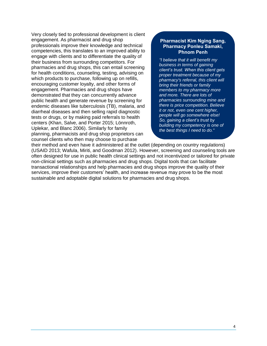Very closely tied to professional development is client engagement. As pharmacist and drug shop professionals improve their knowledge and technical competencies, this translates to an improved ability to engage with clients and to differentiate the quality of their business from surrounding competitors. For pharmacies and drug shops, this can entail screening for health conditions, counseling, testing, advising on which products to purchase, following up on refills, encouraging customer loyalty, and other forms of engagement. Pharmacies and drug shops have demonstrated that they can concurrently advance public health and generate revenue by screening for endemic diseases like tuberculosis (TB), malaria, and diarrheal diseases and then selling rapid diagnostic tests or drugs, or by making paid referrals to health centers (Khan, Salve, and Porter 2015; Lönnroth, Uplekar, and Blanc 2006). Similarly for family planning, pharmacists and drug shop proprietors can counsel clients who then may choose to purchase

#### **Pharmacist Kim Nging Sang, Pharmacy Ponleu Samaki, Phnom Penh**

*"I believe that it will benefit my business in terms of gaining client's trust. When this client gets proper treatment because of my pharmacy's referral, this client will bring their friends or family members to my pharmacy more and more. There are lots of pharmacies surrounding mine and there is price competition. Believe it or not, even one cent higher, people will go somewhere else! So, gaining a client's trust by building my competency is one of the best things I need to do."*

their method and even have it administered at the outlet (depending on country regulations) (USAID 2013; Wafula, Miriti, and Goodman 2012). However, screening and counseling tools are often designed for use in public health clinical settings and not incentivized or tailored for private non-clinical settings such as pharmacies and drug shops. Digital tools that can facilitate transactional relationships and help pharmacies and drug shops improve the quality of their services, improve their customers' health, and increase revenue may prove to be the most sustainable and adoptable digital solutions for pharmacies and drug shops.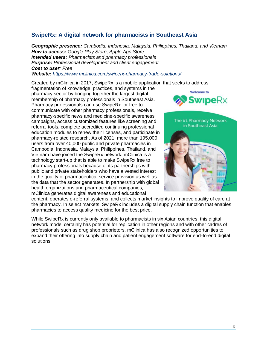## **SwipeRx: A digital network for pharmacists in Southeast Asia**

*Geographic presence: Cambodia, Indonesia, Malaysia, Philippines, Thailand, and Vietnam How to access: Google Play Store, Apple App Store Intended users: Pharmacists and pharmacy professionals Purpose: Professional development and client engagement Cost to user: Free Website: <https://www.mclinica.com/swiperx-pharmacy-trade-solutions/>*

Created by mClinica in 2017, SwipeRx is a mobile application that seeks to address

fragmentation of knowledge, practices, and systems in the pharmacy sector by bringing together the largest digital membership of pharmacy professionals in Southeast Asia. Pharmacy professionals can use SwipeRx for free to communicate with other pharmacy professionals, receive pharmacy-specific news and medicine-specific awareness campaigns, access customized features like screening and referral tools, complete accredited continuing professional education modules to renew their licenses, and participate in pharmacy-related research. As of 2021, more than 195,000 users from over 40,000 public and private pharmacies in Cambodia, Indonesia, Malaysia, Philippines, Thailand, and Vietnam have joined the SwipeRx network. mClinica is a technology start-up that is able to make SwipeRx free to pharmacy professionals because of its partnerships with public and private stakeholders who have a vested interest in the quality of pharmaceutical service provision as well as the data that the sector generates. In partnership with global health organizations and pharmaceutical companies, mClinica generates digital awareness and educational



content, operates e-referral systems, and collects market insights to improve quality of care at the pharmacy. In select markets, SwipeRx includes a digital supply chain function that enables pharmacies to access quality medicine for the best price.

While SwipeRx is currently only available to pharmacists in six Asian countries, this digital network model certainly has potential for replication in other regions and with other cadres of professionals such as drug shop proprietors. mClinica has also recognized opportunities to expand their offering into supply chain and patient engagement software for end-to-end digital solutions.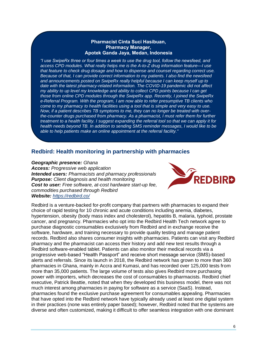#### **Pharmacist Cinta Suci Hasibuan, Pharmacy Manager, Apotek Ganda Jaya, Medan, Indonesia**

*"I use SwipeRx three or four times a week to use the drug tool, follow the newsfeed, and access CPD modules. What really helps me is the A-to-Z drug information feature—I use that feature to check drug dosage and how to dispense and counsel regarding correct use. Because of that, I can provide correct information to my patients. I also find the newsfeed and announcements posted on SwipeRx really helpful because I can keep myself up to date with the latest pharmacy-related information. The COVID-19 pandemic did not affect my ability to up level my knowledge and ability to collect CPD points because I can get those from online CPD modules through the SwipeRx app. Recently, I joined the SwipeRx e-Referral Program. With the program, I am now able to refer presumptive TB clients who come to my pharmacy to health facilities using a tool that is simple and very easy to use. Now, if a patient describes TB symptoms to me, they can no longer be treated with overthe-counter drugs purchased from pharmacy. As a pharmacist, I must refer them for further treatment to a health facility. I suggest expanding the referral tool so that we can apply it for health needs beyond TB. In addition to sending SMS reminder messages, I would like to be able to help patients make an online appointment at the referral facility."*

## **Redbird: Health monitoring in partnership with pharmacies**

#### *Geographic presence: Ghana*

*Access: Progressive web application Intended users: Pharmacists and pharmacy professionals Purpose: Client diagnosis and health monitoring Cost to user: Free software, at-cost hardware start-up fee, commodities purchased through Redbird Website: <https://redbird.co/>*



Redbird is a venture-backed for-profit company that partners with pharmacies to expand their choice of rapid testing for 10 chronic and acute conditions including anemia, diabetes, hypertension, obesity (body mass index and cholesterol), hepatitis B, malaria, typhoid, prostate cancer, and pregnancy. Pharmacies who opt into the Redbird Health Tech network agree to purchase diagnostic consumables exclusively from Redbird and in exchange receive the software, hardware, and training necessary to provide quality testing and manage patient records. Redbird also shares consumer insights with pharmacies. Patients can visit any Redbird pharmacy and the pharmacist can access their history and add new test results through a Redbird software-enabled tablet. Patients can also monitor their medical records via a progressive web-based "Health Passport" and receive short message service (SMS)-based alerts and referrals. Since its launch in 2018, the Redbird network has grown to more than 360 pharmacies in Ghana, mainly in Accra and Kumasi, and has recorded over 125,000 tests from more than 35,000 patients. The large volume of tests also gives Redbird more purchasing power with importers, which decreases the cost of consumables to pharmacists. Redbird chief executive, Patrick Beattie, noted that when they developed this business model, there was not much interest among pharmacies in paying for software as a service (SaaS). Instead, pharmacies found the exclusive purchase agreement for consumables appealing. Pharmacies that have opted into the Redbird network have typically already used at least one digital system in their practices (none was entirely paper based); however, Redbird noted that the systems are diverse and often customized, making it difficult to offer seamless integration with one dominant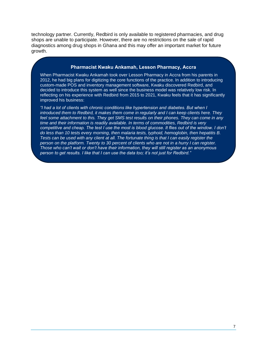technology partner. Currently, Redbird is only available to registered pharmacies, and drug shops are unable to participate. However, there are no restrictions on the sale of rapid diagnostics among drug shops in Ghana and this may offer an important market for future growth.

#### **Pharmacist Kwaku Ankamah, Lesson Pharmacy, Accra**

When Pharmacist Kwaku Ankamah took over Lesson Pharmacy in Accra from his parents in 2012, he had big plans for digitizing the core functions of the practice. In addition to introducing custom-made POS and inventory management software, Kwaku discovered Redbird, and decided to introduce this system as well since the business model was relatively low risk. In reflecting on his experience with Redbird from 2015 to 2021, Kwaku feels that it has significantly improved his business:

*"I had a lot of clients with chronic conditions like hypertension and diabetes. But when I introduced them to Redbird, it makes them come in regularly and I can keep clients here. They feel some attachment to this. They get SMS test results on their phones. They can come in any time and their information is readily available. In terms of commodities, Redbird is very competitive and cheap. The test I use the most is blood glucose. It flies out of the window. I don't do less than 10 tests every morning, then malaria tests, typhoid, hemoglobin, then hepatitis B. Tests can be used with any client at all. The fortunate thing is that I can easily register the person on the platform. Twenty to 30 percent of clients who are not in a hurry I can register. Those who can't wait or don't have their information, they will still register as an anonymous person to get results. I like that I can use the data too; it's not just for Redbird."*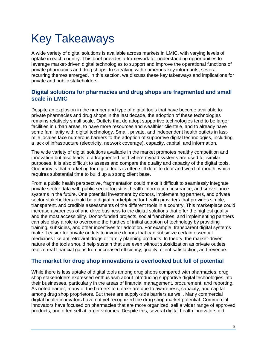# <span id="page-19-0"></span>Key Takeaways

A wide variety of digital solutions is available across markets in LMIC, with varying levels of uptake in each country. This brief provides a framework for understanding opportunities to leverage market-driven digital technologies to support and improve the operational functions of private pharmacies and drug shops. In speaking with numerous key informants, several recurring themes emerged. In this section, we discuss these key takeaways and implications for private and public stakeholders.

## **Digital solutions for pharmacies and drug shops are fragmented and small scale in LMIC**

Despite an explosion in the number and type of digital tools that have become available to private pharmacies and drug shops in the last decade, the adoption of these technologies remains relatively small scale. Outlets that do adopt supportive technologies tend to be larger facilities in urban areas, to have more resources and wealthier clientele, and to already have some familiarity with digital technology. Small, private, and independent health outlets in lastmile locales face numerous barriers to the adoption of supportive digital technologies, including a lack of infrastructure (electricity, network coverage), capacity, capital, and information.

The wide variety of digital solutions available in the market promotes healthy competition and innovation but also leads to a fragmented field where myriad systems are used for similar purposes. It is also difficult to assess and compare the quality and capacity of the digital tools. One irony is that marketing for digital tools is often still door-to-door and word-of-mouth, which requires substantial time to build up a strong client base.

From a public health perspective, fragmentation could make it difficult to seamlessly integrate private sector data with public sector logistics, health information, insurance, and surveillance systems in the future. One potential investment by donors, implementing partners, and private sector stakeholders could be a digital marketplace for health providers that provides simple. transparent, and credible assessments of the different tools in a country. This marketplace could increase awareness of and drive business to the digital solutions that offer the highest quality and the most accessibility. Donor-funded projects, social franchises, and implementing partners can also play a role to overcome the hurdles of initial adoption of technology by providing training, subsidies, and other incentives for adoption. For example, transparent digital systems make it easier for private outlets to invoice donors that can subsidize certain essential medicines like antiretroviral drugs or family planning products. In theory, the market-driven nature of the tools should help sustain that use even without subsidization as private outlets realize real financial gains from increased efficiency, quality, client satisfaction, and revenue.

### **The market for drug shop innovations is overlooked but full of potential**

While there is less uptake of digital tools among drug shops compared with pharmacies, drug shop stakeholders expressed enthusiasm about introducing supportive digital technologies into their businesses, particularly in the areas of financial management, procurement, and reporting. As noted earlier, many of the barriers to uptake are due to awareness, capacity, and capital among drug shop proprietors. But there are supply-side barriers as well. Many commercial digital health innovators have not yet recognized the drug shop market potential. Commercial innovators have focused on pharmacies that are more organized, sell a wider range of approved products, and often sell at larger volumes. Despite this, several digital health innovators did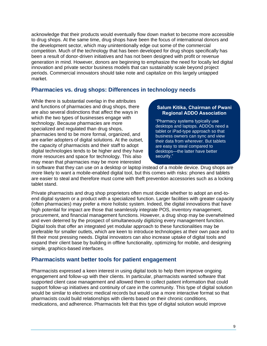acknowledge that their products would eventually flow down market to become more accessible to drug shops. At the same time, drug shops have been the focus of international donors and the development sector, which may unintentionally edge out some of the commercial competition. Much of the technology that has been developed for drug shops specifically has been a result of donor-driven initiatives and has not been designed with profit or revenue generation in mind. However, donors are beginning to emphasize the need for locally led digital innovation and private sector business models that can sustainably scale beyond project periods. Commercial innovators should take note and capitalize on this largely untapped market.

# **Pharmacies vs. drug shops: Differences in technology needs**

While there is substantial overlap in the attributes and functions of pharmacies and drug shops, there are also several distinctions that affect the ways in which the two types of businesses engage with technology. Because pharmacies are more specialized and regulated than drug shops, pharmacies tend to be more formal, organized, and are earlier adopters of digital solutions. At the outset, the capacity of pharmacists and their staff to adopt digital technologies tends to be higher and they have more resources and space for technology. This also may mean that pharmacies may be more interested

#### **Salum Kitika, Chairman of Pwani Regional ADDO Association**

"Pharmacy systems typically use desktops and laptops. ADDOs need a tablet or iPad-type approach so that business owners can sync and view their data from wherever. But tablets are easy to steal compared to desktops—the latter have better security."

in software that they can use on a desktop or laptop instead of a mobile device. Drug shops are more likely to want a mobile-enabled digital tool, but this comes with risks: phones and tablets are easier to steal and therefore must come with theft prevention accessories such as a locking tablet stand.

Private pharmacists and drug shop proprietors often must decide whether to adopt an end-toend digital system or a product with a specialized function. Larger facilities with greater capacity (often pharmacies) may prefer a more holistic system. Indeed, the digital innovations that have high potential for impact are those that seamlessly integrate POS, inventory management, procurement, and financial management functions. However, a drug shop may be overwhelmed and even deterred by the prospect of simultaneously digitizing every management function. Digital tools that offer an integrated yet modular approach to these functionalities may be preferable for smaller outlets, which are keen to introduce technologies at their own pace and to fill their most pressing needs. Digital innovators can also increase uptake of digital tools and expand their client base by building in offline functionality, optimizing for mobile, and designing simple, graphics-based interfaces.

### **Pharmacists want better tools for patient engagement**

Pharmacists expressed a keen interest in using digital tools to help them improve ongoing engagement and follow-up with their clients. In particular, pharmacists wanted software that supported client case management and allowed them to collect patient information that could support follow-up initiatives and continuity of care in the community. This type of digital solution would be similar to electronic medical records but would use a more interactive format so that pharmacists could build relationships with clients based on their chronic conditions, medications, and adherence. Pharmacists felt that this type of digital solution would improve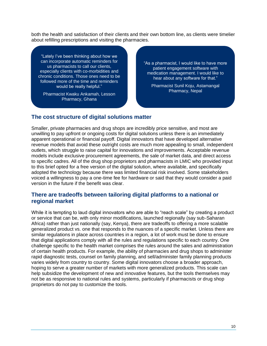both the health and satisfaction of their clients and their own bottom line, as clients were timelier about refilling prescriptions and visiting the pharmacies.

"Lately I've been thinking about how we can incorporate automatic reminders for us pharmacists to call our clients, especially clients with co-morbidities and chronic conditions. Those ones need to be followed more of the time and reminders would be really helpful."

Pharmacist Kwaku Ankamah, Lesson Pharmacy, Ghana

"As a pharmacist, I would like to have more patient engagement software with medication management. I would like to hear about any software for that."

Pharmacist Sunil Koju, Astamangal Pharmacy, Nepal

# **The cost structure of digital solutions matter**

Smaller, private pharmacies and drug shops are incredibly price sensitive, and most are unwilling to pay upfront or ongoing costs for digital solutions unless there is an immediately apparent operational or financial payoff. Digital innovators that have developed alternative revenue models that avoid these outright costs are much more appealing to small, independent outlets, which struggle to raise capital for innovations and improvements. Acceptable revenue models include exclusive procurement agreements, the sale of market data, and direct access to specific cadres. All of the drug shop proprietors and pharmacists in LMIC who provided input to this brief opted for a free version of the digital solution, where available, and specifically adopted the technology because there was limited financial risk involved. Some stakeholders voiced a willingness to pay a one-time fee for hardware or said that they would consider a paid version in the future if the benefit was clear.

### **There are tradeoffs between tailoring digital platforms to a national or regional market**

While it is tempting to laud digital innovators who are able to "reach scale" by creating a product or service that can be, with only minor modifications, launched regionally (say sub-Saharan Africa) rather than just nationally (say, Kenya), there are tradeoffs to offering a more scalable generalized product vs. one that responds to the nuances of a specific market. Unless there are similar regulations in place across countries in a region, a lot of work must be done to ensure that digital applications comply with all the rules and regulations specific to each country. One challenge specific to the health market comprises the rules around the sales and administration of certain health products. For example, the ability of pharmacies and drug shops to administer rapid diagnostic tests, counsel on family planning, and sell/administer family planning products varies widely from country to country. Some digital innovators choose a broader approach, hoping to serve a greater number of markets with more generalized products. This scale can help subsidize the development of new and innovative features, but the tools themselves may not be as responsive to national rules and systems, particularly if pharmacists or drug shop proprietors do not pay to customize the tools.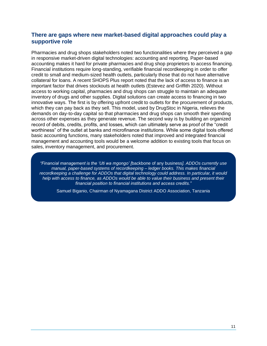### **There are gaps where new market-based digital approaches could play a supportive role**

Pharmacies and drug shops stakeholders noted two functionalities where they perceived a gap in responsive market-driven digital technologies: accounting and reporting. Paper-based accounting makes it hard for private pharmacies and drug shop proprietors to access financing. Financial institutions require long-standing, verifiable financial recordkeeping in order to offer credit to small and medium-sized health outlets, particularly those that do not have alternative collateral for loans. A recent SHOPS Plus report noted that the lack of access to finance is an important factor that drives stockouts at health outlets (Estevez and Griffith 2020). Without access to working capital, pharmacies and drug shops can struggle to maintain an adequate inventory of drugs and other supplies. Digital solutions can create access to financing in two innovative ways. The first is by offering upfront credit to outlets for the procurement of products, which they can pay back as they sell. This model, used by DrugStoc in Nigeria, relieves the demands on day-to-day capital so that pharmacies and drug shops can smooth their spending across other expenses as they generate revenue. The second way is by building an organized record of debits, credits, profits, and losses, which can ultimately serve as proof of the "credit worthiness" of the outlet at banks and microfinance institutions. While some digital tools offered basic accounting functions, many stakeholders noted that improved and integrated financial management and accounting tools would be a welcome addition to existing tools that focus on sales, inventory management, and procurement.

*"Financial management is the 'Uti wa mgongo' [*backbone of any business*]. ADDOs currently use manual, paper-based systems of recordkeeping – ledger books. This makes financial recordkeeping a challenge for ADDOs that digital technology could address. In particular, it would help with access to finance, as ADDOs would be able to value their business and present their financial position to financial institutions and access credits."*

Samuel Biganio, Chairman of Nyamagana District ADDO Association, Tanzania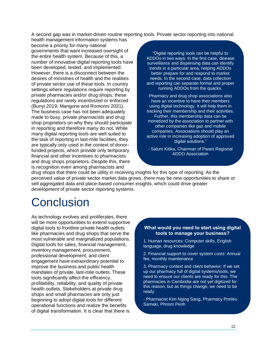A second gap was in market-driven routine reporting tools. Private sector reporting into national

health management information systems has become a priority for many national governments that want increased oversight of the entire health system. Because of this, a number of innovative digital reporting tools have been developed, tested, and implemented. However, there is a disconnect between the desires of ministries of health and the realities of private sector use of these tools. In country settings where regulations require reporting by private pharmacies and/or drug shops, these regulations are rarely incentivized or enforced (Bunyi 2019; Mangone and Romorini 2021). The business case has not been adequately made to busy, private pharmacists and drug shop proprietors on why they should participate in reporting and therefore many do not. While many digital reporting tools are well suited to the task of reporting in last-mile facilities, they are typically only used in the context of donorfunded projects, which provide only temporary financial and other incentives to pharmacists and drug shops proprietors. Despite this, there is recognition even among pharmacists and

"Digital reporting tools can be helpful to ADDOs in two ways: In the first case, disease surveillance and dispensing data can identify trends in a particular area, helping ADDOs better prepare for and respond to market needs. In the second case, data collection and reporting can separate formal and proper running ADDOs from the quacks.

Pharmacy and drug shop associations also have an incentive to have their members using digital technology. It will help them in tracking their membership and their activities. Further, this membership data can be monetized by the association to partner with other companies like gas and mobile companies. Associations should play an active role in increasing adoption of approved digital solutions."

- Salum Kitika, Chairman of Pwani Regional ADDO Association

drug shops that there could be utility in receiving insights for this type of reporting. As the perceived value of private sector market data grows, there may be new opportunities to share or sell aggregated data and place-based consumer insights, which could drive greater development of private sector reporting systems.

# <span id="page-23-0"></span>**Conclusion**

As technology evolves and proliferates, there will be more opportunities to extend supportive digital tools to frontline private health outlets like pharmacies and drug shops that serve the most vulnerable and marginalized populations. Digital tools for sales, financial management, inventory management, procurement, professional development, and client engagement have extraordinary potential to improve the business and public health mandates of private, last-mile outlets. These tools significantly affect the efficiency, profitability, reliability, and quality of private health outlets. Stakeholders at private drug shops and small pharmacies are only just beginning to adopt digital tools for different operational functions and realize the benefits of digital transformation. It is clear that there is

#### **What would you need to start using digital tools to manage your business?**

1. Human resources: Computer skills, English language, drug knowledge

2. Financial support to cover system costs: Annual fee, monthly maintenance

3. Pharmacy context and client behavior: If we set up our pharmacy full of digital systems/tools, we need to ensure our clients are ready for this. The pharmacies in Cambodia are not yet digitized for this reason, but as things change, we need to be ready.

- Pharmacist Kim Nging Sang, Pharmacy Ponleu Samaki, Phnom Penh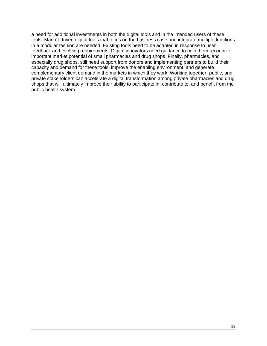a need for additional investments in both the digital tools and in the intended users of these tools. Market-driven digital tools that focus on the business case and integrate multiple functions in a modular fashion are needed. Existing tools need to be adapted in response to user feedback and evolving requirements. Digital innovators need guidance to help them recognize important market potential of small pharmacies and drug shops. Finally, pharmacies, and especially drug shops, still need support from donors and implementing partners to build their capacity and demand for these tools, improve the enabling environment, and generate complementary client demand in the markets in which they work. Working together, public, and private stakeholders can accelerate a digital transformation among private pharmacies and drug shops that will ultimately improve their ability to participate in, contribute to, and benefit from the public health system.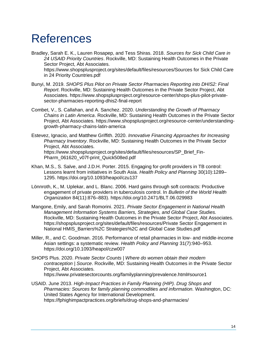# <span id="page-25-0"></span>References

- Bradley, Sarah E. K., Lauren Rosapep, and Tess Shiras. 2018. *Sources for Sick Child Care in 24 USAID Priority Countries*. Rockville, MD: Sustaining Health Outcomes in the Private Sector Project, Abt Associates. https://www.shopsplusproject.org/sites/default/files/resources/Sources for Sick Child Care in 24 Priority Countries.pdf
- Bunyi, M. 2019. *SHOPS Plus Pilot on Private Sector Pharmacies Reporting into DHIS2: Final Report*. Rockville, MD: Sustaining Health Outcomes in the Private Sector Project, Abt Associates. https://www.shopsplusproject.org/resource-center/shops-plus-pilot-privatesector-pharmacies-reporting-dhis2-final-report
- Combet, V., S. Callahan, and A. Sanchez. 2020. *Understanding the Growth of Pharmacy Chains in Latin America*. Rockville, MD: Sustaining Health Outcomes in the Private Sector Project, Abt Associates. https://www.shopsplusproject.org/resource-center/understandinggrowth-pharmacy-chains-latin-america
- Estevez, Ignacio, and Matthew Griffith. 2020. *Innovative Financing Approaches for Increasing Pharmacy Inventory*. Rockville, MD: Sustaining Health Outcomes in the Private Sector Project, Abt Associates. https://www.shopsplusproject.org/sites/default/files/resources/SP\_Brief\_Fin-Pharm\_061620\_v07f-print\_Quick508ed.pdf
- Khan, M.S., S. Salve, and J.D.H. Porter. 2015. Engaging for-profit providers in TB control: Lessons learnt from initiatives in South Asia. *Health Policy and Planning* 30(10):1289– 1295. https://doi.org/10.1093/heapol/czu137
- Lönnroth, K., M. Uplekar, and L. Blanc. 2006. Hard gains through soft contracts: Productive engagement of private providers in tuberculosis control. In *Bulletin of the World Health Organization* 84(11):876–883). https://doi.org/10.2471/BLT.06.029983
- Mangone, Emily, and Sarah Romorini. 2021. *Private Sector Engagement in National Health Management Information Systems Barriers, Strategies, and Global Case Studies.*  Rockville, MD: Sustaining Health Outcomes in the Private Sector Project, Abt Associates. https://shopsplusproject.org/sites/default/files/resources/Private Sector Engagement in National HMIS\_Barriers%2C Strategies%2C and Global Case Studies.pdf
- Miller, R., and C. Goodman. 2016. Performance of retail pharmacies in low- and middle-income Asian settings: a systematic review. *Health Policy and Planning* 31(7):940–953. https://doi.org/10.1093/heapol/czw007
- SHOPS Plus. 2020. *Private Sector Counts | Where do women obtain their modern contraception | Source*. Rockville, MD: Sustaining Health Outcomes in the Private Sector Project, Abt Associates. https://www.privatesectorcounts.org/familyplanning/prevalence.html#source1
- USAID. June 2013. *High-Impact Practices in Family Planning (HIP). Drug Shops and Pharmacies: Sources for family planning commodities and information.* Washington, DC: United States Agency for International Development. https://fphighimpactpractices.org/briefs/drug-shops-and-pharmacies/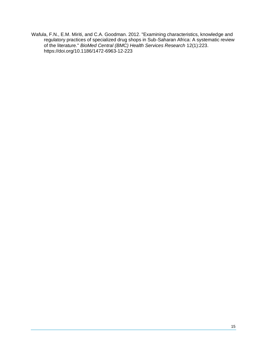Wafula, F.N., E.M. Miriti, and C.A. Goodman. 2012. "Examining characteristics, knowledge and regulatory practices of specialized drug shops in Sub-Saharan Africa: A systematic review of the literature." *BioMed Central (BMC) Health Services Research* 12(1):223. https://doi.org/10.1186/1472-6963-12-223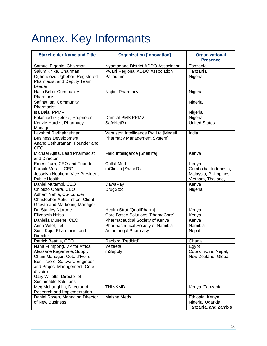# <span id="page-27-0"></span>Annex. Key Informants

| <b>Stakeholder Name and Title</b>                                                                                                                                                                    | <b>Organization [Innovation]</b>                                            | <b>Organizational</b><br><b>Presence</b>                             |
|------------------------------------------------------------------------------------------------------------------------------------------------------------------------------------------------------|-----------------------------------------------------------------------------|----------------------------------------------------------------------|
| Samuel Biganio, Chairman                                                                                                                                                                             | Nyamagana District ADDO Association                                         | Tanzania                                                             |
| Salum Kitika, Chairman                                                                                                                                                                               | Pwani Regional ADDO Association                                             | Tanzania                                                             |
| Ogheneovo Ugbebor, Registered<br><b>Pharmacist and Deputy Team</b><br>Leader                                                                                                                         | Palladium                                                                   | Nigeria                                                              |
| Najib Bello, Community<br>Pharmacist                                                                                                                                                                 | Najbel Pharmacy                                                             | Nigeria                                                              |
| Safinat Isa, Community<br>Pharmacist                                                                                                                                                                 |                                                                             | Nigeria                                                              |
| Isa Bala, PPMV                                                                                                                                                                                       |                                                                             | Nigeria                                                              |
| Folashade Ojeleke, Proprietor                                                                                                                                                                        | Damilat PMS PPMV                                                            | Nigeria                                                              |
| Kenzie Harder, Pharmacy<br>Manager                                                                                                                                                                   | <b>SafeNetRx</b>                                                            | <b>United States</b>                                                 |
| Lakshmi Radhakrishnan,<br><b>Business Development</b><br>Anand Sethuraman, Founder and<br>CEO                                                                                                        | Vanuston Intelligence Pvt Ltd [Medeil<br><b>Pharmacy Management System]</b> | India                                                                |
| Michael Ajiffa, Lead Pharmacist<br>and Director                                                                                                                                                      | Field Intelligence [Shelflife]                                              | Kenya                                                                |
| Ernest Jura, CEO and Founder                                                                                                                                                                         | CollabMed                                                                   | Kenya                                                                |
| Farouk Meralli, CEO<br>Josselyn Neukom, Vice President<br>Public Health                                                                                                                              | mClinica [SwipeRx]                                                          | Cambodia, Indonesia,<br>Malaysia, Philippines,<br>Vietnam, Thailand, |
| Daniel Mutambi, CEO                                                                                                                                                                                  | <b>DawaPay</b>                                                              | Kenya                                                                |
| Chibuzo Opara, CEO<br>Adham Yehia, Co-founder<br>Christopher Abhulimhen, Client<br>Growth and Marketing Manager                                                                                      | <b>DrugStoc</b>                                                             | Nigeria                                                              |
| Dr. Stanley Njoroge                                                                                                                                                                                  | Health Strat [QualiPharm]                                                   | Kenya                                                                |
| Elizabeth Nzisa                                                                                                                                                                                      | <b>Core Based Solutions [PhamaCore]</b>                                     | Kenya                                                                |
| Daniella Munene, CEO                                                                                                                                                                                 | Pharmaceutical Society of Kenya                                             | Kenya                                                                |
| Anna Wilet, Itel                                                                                                                                                                                     | Pharmaceutical Society of Namibia                                           | Namibia                                                              |
| Sunil Koju, Pharmacist and<br>Director                                                                                                                                                               | Astamangal Pharmacy                                                         | Nepal                                                                |
| Patrick Beattie, CEO                                                                                                                                                                                 | Redbird [Redbird]                                                           | Ghana                                                                |
| Nana Frimpong, VP for Africa                                                                                                                                                                         | Vezeeta                                                                     | Egypt                                                                |
| Alassane Kagamate, Supply<br>Chain Manager, Cote d'Ivoire<br>Ben Traore, Software Engineer<br>and Project Management, Cote<br>d'Ivoire<br>Gary Willetts, Director of<br><b>Sustainable Solutions</b> | mSupply                                                                     | Cote d'Ivoire, Nepal,<br>New Zealand, Global                         |
| Meg McLaughlin, Director of<br>Research and Implementation                                                                                                                                           | <b>THINKMD</b>                                                              | Kenya, Tanzania                                                      |
| Daniel Rosen, Managing Director<br>of New Business                                                                                                                                                   | Maisha Meds                                                                 | Ethiopia, Kenya,<br>Nigeria, Uganda,<br>Tanzania, and Zambia         |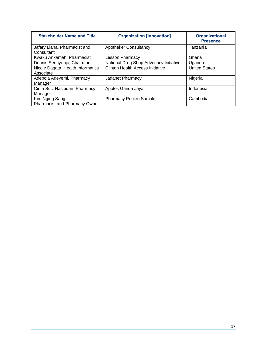| <b>Stakeholder Name and Title</b>                      | <b>Organization [Innovation]</b>        | <b>Organizational</b><br><b>Presence</b> |
|--------------------------------------------------------|-----------------------------------------|------------------------------------------|
| Jafary Liana, Pharmacist and<br>Consultant             | <b>Apotheker Consultancy</b>            | Tanzania                                 |
| Kwaku Ankamah, Pharmacist                              | Lesson Pharmacy                         | Ghana                                    |
| Dennis Sennyonjo, Chairman                             | National Drug Shop Advocacy Initiative  | Uganda                                   |
| Nicole Dagata, Health Informatics<br>Associate         | <b>Clinton Health Access Initiative</b> | <b>United States</b>                     |
| Adebola Adeyemi, Pharmacy<br>Manager                   | Jadanet Pharmacy                        | Nigeria                                  |
| Cinta Suci Hasibuan, Pharmacy<br>Manager               | Apotek Ganda Jaya                       | Indonesia                                |
| Kim Nging Sang<br><b>Pharmacist and Pharmacy Owner</b> | Pharmacy Ponleu Samaki                  | Cambodia                                 |